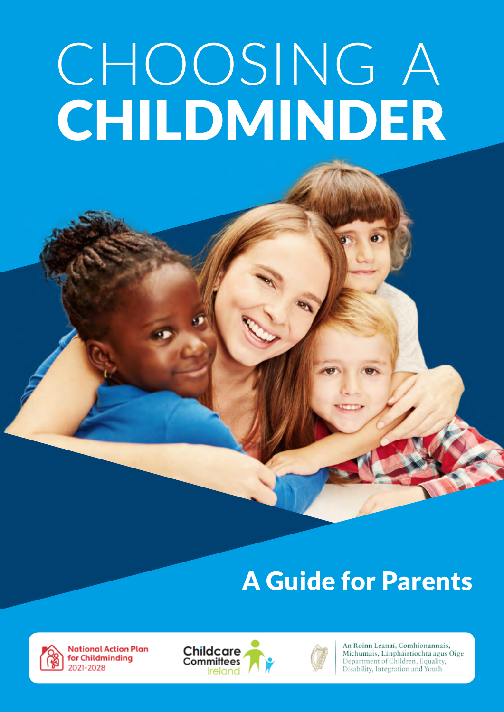# CHOOSING A CHILDMINDER

## A Guide for Parents



**National Action Plan** for Childminding 2021-2028





An Roinn Leanaí, Comhionannais, Míchumais, Lánpháirtíochta agus Óige Department of Children, Equality, Disability, Integration and Youth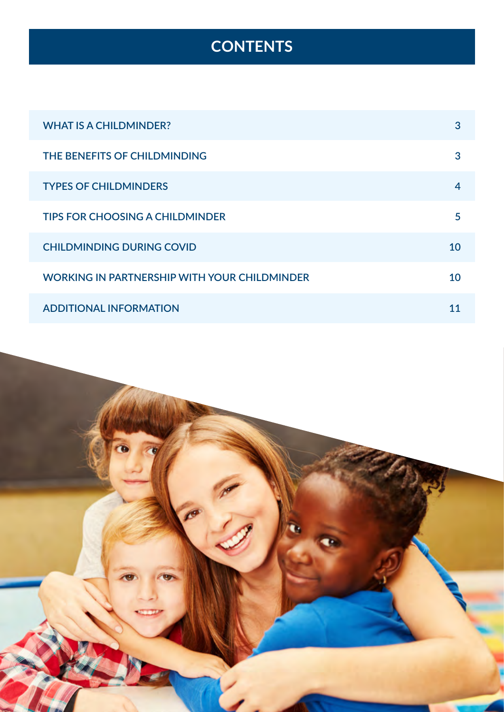## **CONTENTS**

| <b>WHAT IS A CHILDMINDER?</b>                       | 3  |
|-----------------------------------------------------|----|
| THE BENEFITS OF CHILDMINDING                        | 3  |
| <b>TYPES OF CHILDMINDERS</b>                        | 4  |
| <b>TIPS FOR CHOOSING A CHILDMINDER</b>              | 5  |
| <b>CHILDMINDING DURING COVID</b>                    | 10 |
| <b>WORKING IN PARTNERSHIP WITH YOUR CHILDMINDER</b> | 10 |
| <b>ADDITIONAL INFORMATION</b>                       | 11 |

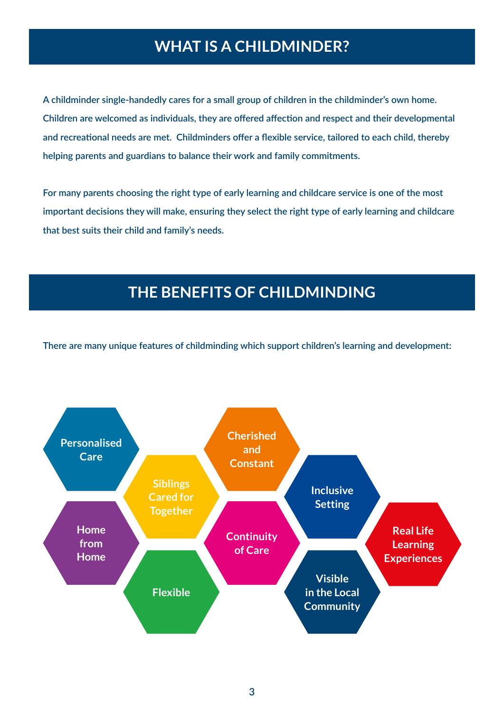## **WHAT IS A CHILDMINDER?**

<span id="page-2-0"></span>**A childminder single-handedly cares for a small group of children in the childminder's own home. Children are welcomed as individuals, they are offered affection and respect and their developmental and recreational needs are met. Childminders offer a flexible service, tailored to each child, thereby helping parents and guardians to balance their work and family commitments.** 

**For many parents choosing the right type of early learning and childcare service is one of the most important decisions they will make, ensuring they select the right type of early learning and childcare that best suits their child and family's needs.**

### **THE BENEFITS OF CHILDMINDING**

**There are many unique features of childminding which support children's learning and development:**

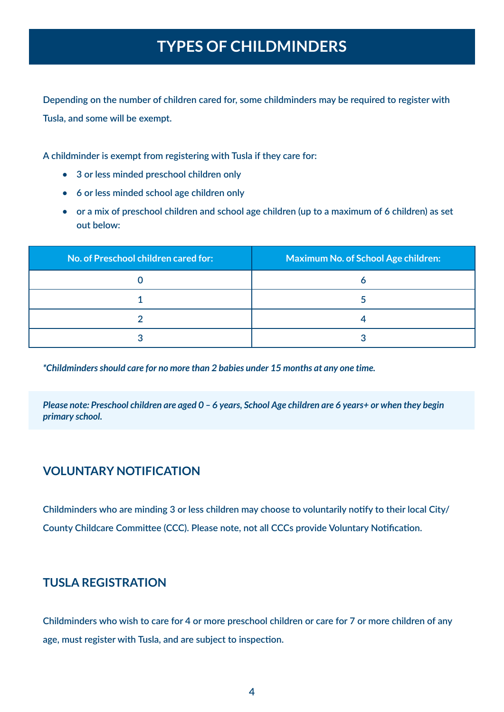## **TYPES OF CHILDMINDERS**

<span id="page-3-0"></span>**Depending on the number of children cared for, some childminders may be required to register with Tusla, and some will be exempt.** 

**A childminder is exempt from registering with Tusla if they care for:**

- **• 3 or less minded preschool children only**
- **• 6 or less minded school age children only**
- **• or a mix of preschool children and school age children (up to a maximum of 6 children) as set out below:**

| No. of Preschool children cared for: | <b>Maximum No. of School Age children:</b> |
|--------------------------------------|--------------------------------------------|
|                                      |                                            |
|                                      |                                            |
|                                      |                                            |
|                                      |                                            |

*\*Childminders should care for no more than 2 babies under 15 months at any one time.*

*Please note: Preschool children are aged 0 – 6 years, School Age children are 6 years+ or when they begin primary school.*

#### **VOLUNTARY NOTIFICATION**

**Childminders who are minding 3 or less children may choose to voluntarily notify to their local City/ County Childcare Committee (CCC). Please note, not all CCCs provide Voluntary Notification.**

#### **TUSLA REGISTRATION**

**Childminders who wish to care for 4 or more preschool children or care for 7 or more children of any age, must register with Tusla, and are subject to inspection.**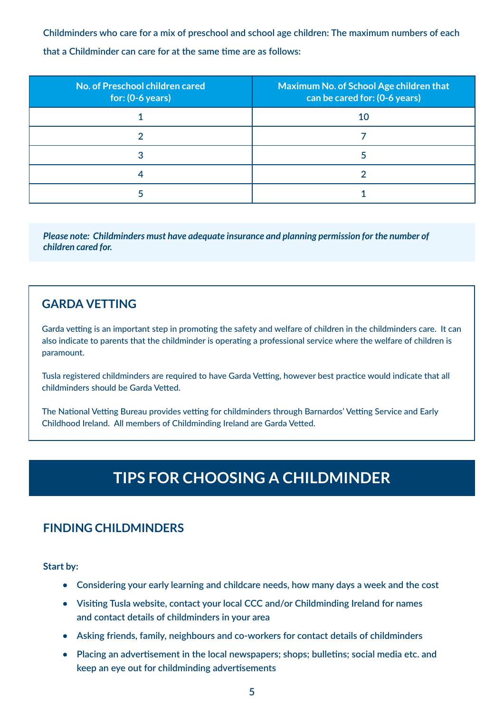<span id="page-4-0"></span>**Childminders who care for a mix of preschool and school age children: The maximum numbers of each** 

**that a Childminder can care for at the same time are as follows:**

| No. of Preschool children cared<br>$\vert$ for: (0-6 years) | Maximum No. of School Age children that<br>can be cared for: (0-6 years) |
|-------------------------------------------------------------|--------------------------------------------------------------------------|
|                                                             | 10                                                                       |
|                                                             |                                                                          |
|                                                             |                                                                          |
|                                                             |                                                                          |
|                                                             |                                                                          |

*Please note: Childminders must have adequate insurance and planning permission for the number of children cared for.*

#### **GARDA VETTING**

Garda vetting is an important step in promoting the safety and welfare of children in the childminders care. It can also indicate to parents that the childminder is operating a professional service where the welfare of children is paramount.

Tusla registered childminders are required to have Garda Vetting, however best practice would indicate that all childminders should be Garda Vetted.

The National Vetting Bureau provides vetting for childminders through Barnardos' Vetting Service and Early Childhood Ireland. All members of Childminding Ireland are Garda Vetted.

## **TIPS FOR CHOOSING A CHILDMINDER**

#### **FINDING CHILDMINDERS**

**Start by:**

- **• Considering your early learning and childcare needs, how many days a week and the cost**
- **• Visiting [Tusla](https://www.tusla.ie/) website, contact your local CCC and/or [Childminding Ireland](https://www.childminding.ie/) for names and contact details of childminders in your area**
- **• Asking friends, family, neighbours and co-workers for contact details of childminders**
- **• Placing an advertisement in the local newspapers; shops; bulletins; social media etc. and keep an eye out for childminding advertisements**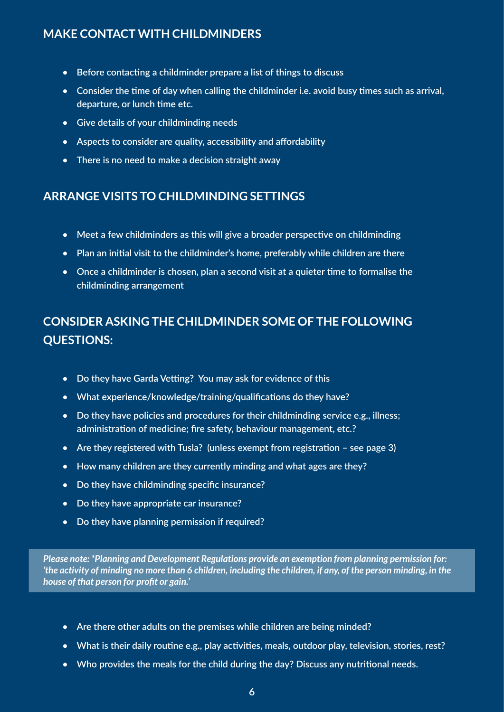#### **MAKE CONTACT WITH CHILDMINDERS**

- **• Before contacting a childminder prepare a list of things to discuss**
- **• Consider the time of day when calling the childminder i.e. avoid busy times such as arrival, departure, or lunch time etc.**
- **• Give details of your childminding needs**
- **• Aspects to consider are quality, accessibility and affordability**
- **• There is no need to make a decision straight away**

#### **ARRANGE VISITS TO CHILDMINDING SETTINGS**

- **• Meet a few childminders as this will give a broader perspective on childminding**
- **• Plan an initial visit to the childminder's home, preferably while children are there**
- **• Once a childminder is chosen, plan a second visit at a quieter time to formalise the childminding arrangement**

#### **CONSIDER ASKING THE CHILDMINDER SOME OF THE FOLLOWING QUESTIONS:**

- **• Do they have Garda Vetting? You may ask for evidence of this**
- **• What experience/knowledge/training/qualifications do they have?**
- **• Do they have policies and procedures for their childminding service e.g., illness; administration of medicine; fire safety, behaviour management, etc.?**
- **• Are they registered with Tusla? (unless exempt from registration see page 3)**
- **• How many children are they currently minding and what ages are they?**
- **• Do they have childminding specific insurance?**
- **• Do they have appropriate car insurance?**
- **• Do they have planning permission if required?**

*Please note: \*Planning and Development Regulations provide an exemption from planning permission for: 'the activity of minding no more than 6 children, including the children, if any, of the person minding, in the house of that person for profit or gain.'*

- **• Are there other adults on the premises while children are being minded?**
- **• What is their daily routine e.g., play activities, meals, outdoor play, television, stories, rest?**
- **• Who provides the meals for the child during the day? Discuss any nutritional needs.**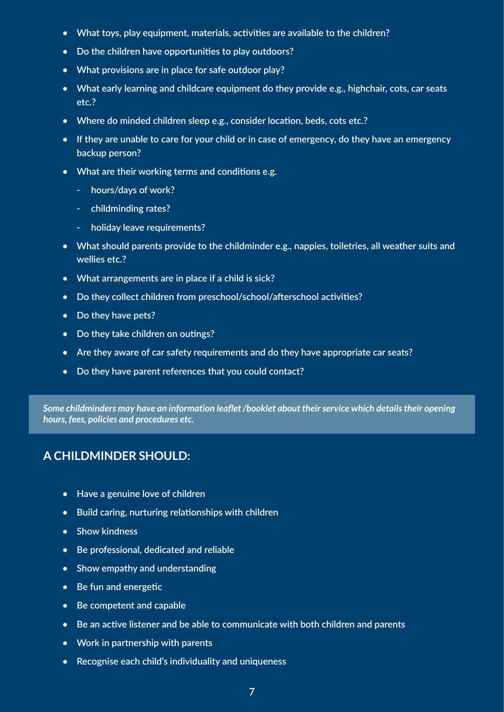- **• What toys, play equipment, materials, activities are available to the children?**
- **• Do the children have opportunities to play outdoors?**
- **• What provisions are in place for safe outdoor play?**
- **• What early learning and childcare equipment do they provide e.g., highchair, cots, car seats etc.?**
- **• Where do minded children sleep e.g., consider location, beds, cots etc.?**
- **• If they are unable to care for your child or in case of emergency, do they have an emergency backup person?**
- **• What are their working terms and conditions e.g.**
	- **- hours/days of work?**
	- **- childminding rates?**
	- **- holiday leave requirements?**
- **• What should parents provide to the childminder e.g., nappies, toiletries, all weather suits and wellies etc.?**
- **• What arrangements are in place if a child is sick?**
- **• Do they collect children from preschool/school/afterschool activities?**
- **• Do they have pets?**
- **• Do they take children on outings?**
- **• Are they aware of car safety requirements and do they have appropriate car seats?**
- **• Do they have parent references that you could contact?**

*Some childminders may have an information leaflet /booklet about their service which details their opening hours, fees, policies and procedures etc.*

#### **A CHILDMINDER SHOULD:**

- **• Have a genuine love of children**
- **• Build caring, nurturing relationships with children**
- **• Show kindness**
- **• Be professional, dedicated and reliable**
- **• Show empathy and understanding**
- **• Be fun and energetic**
- **• Be competent and capable**
- **• Be an active listener and be able to communicate with both children and parents**
- **• Work in partnership with parents**
- **• Recognise each child's individuality and uniqueness**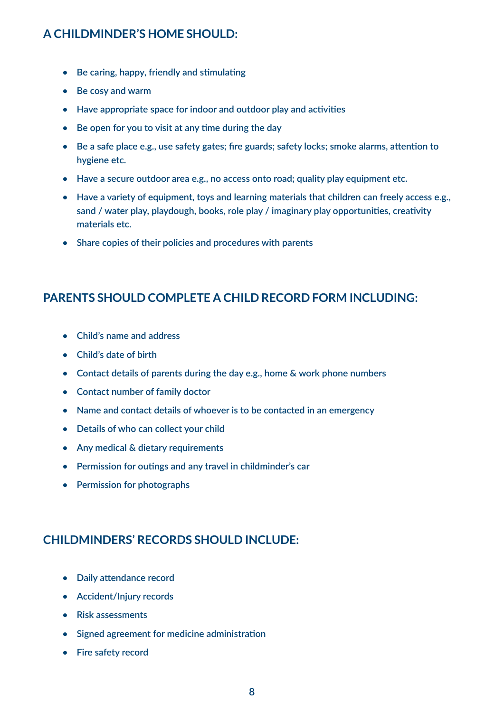#### **A CHILDMINDER'S HOME SHOULD:**

- **• Be caring, happy, friendly and stimulating**
- **• Be cosy and warm**
- **• Have appropriate space for indoor and outdoor play and activities**
- **• Be open for you to visit at any time during the day**
- **• Be a safe place e.g., use safety gates; fire guards; safety locks; smoke alarms, attention to hygiene etc.**
- **• Have a secure outdoor area e.g., no access onto road; quality play equipment etc.**
- **• Have a variety of equipment, toys and learning materials that children can freely access e.g., sand / water play, playdough, books, role play / imaginary play opportunities, creativity materials etc.**
- **• Share copies of their policies and procedures with parents**

#### **PARENTS SHOULD COMPLETE A CHILD RECORD FORM INCLUDING:**

- **• Child's name and address**
- **• Child's date of birth**
- **• Contact details of parents during the day e.g., home & work phone numbers**
- **• Contact number of family doctor**
- **• Name and contact details of whoever is to be contacted in an emergency**
- **• Details of who can collect your child**
- **• Any medical & dietary requirements**
- **• Permission for outings and any travel in childminder's car**
- **• Permission for photographs**

#### **CHILDMINDERS' RECORDS SHOULD INCLUDE:**

- **• Daily attendance record**
- **• Accident/Injury records**
- **• Risk assessments**
- **• Signed agreement for medicine administration**
- **• Fire safety record**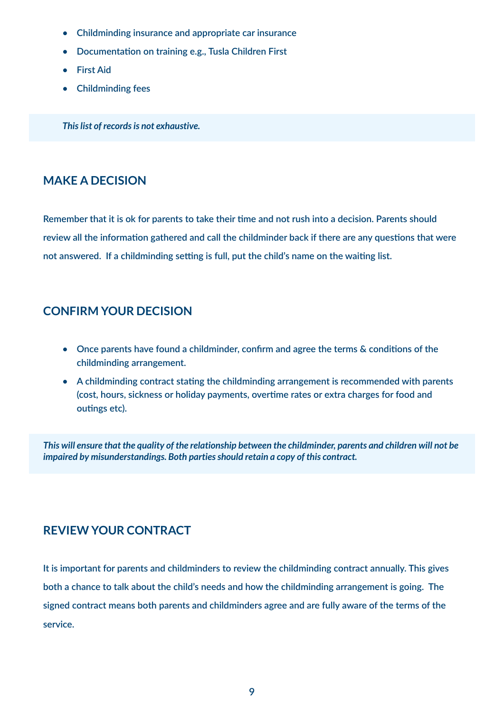- **• Childminding insurance and appropriate car insurance**
- **• Documentation on training e.g., Tusla Children First**
- **• First Aid**
- **• Childminding fees**

*This list of records is not exhaustive.*

#### **MAKE A DECISION**

**Remember that it is ok for parents to take their time and not rush into a decision. Parents should review all the information gathered and call the childminder back if there are any questions that were not answered. If a childminding setting is full, put the child's name on the waiting list.** 

#### **CONFIRM YOUR DECISION**

- **• Once parents have found a childminder, confirm and agree the terms & conditions of the childminding arrangement.**
- **• A childminding contract stating the childminding arrangement is recommended with parents (cost, hours, sickness or holiday payments, overtime rates or extra charges for food and outings etc).**

*This will ensure that the quality of the relationship between the childminder, parents and children will not be impaired by misunderstandings. Both parties should retain a copy of this contract.*

#### **REVIEW YOUR CONTRACT**

**It is important for parents and childminders to review the childminding contract annually. This gives both a chance to talk about the child's needs and how the childminding arrangement is going. The signed contract means both parents and childminders agree and are fully aware of the terms of the service.**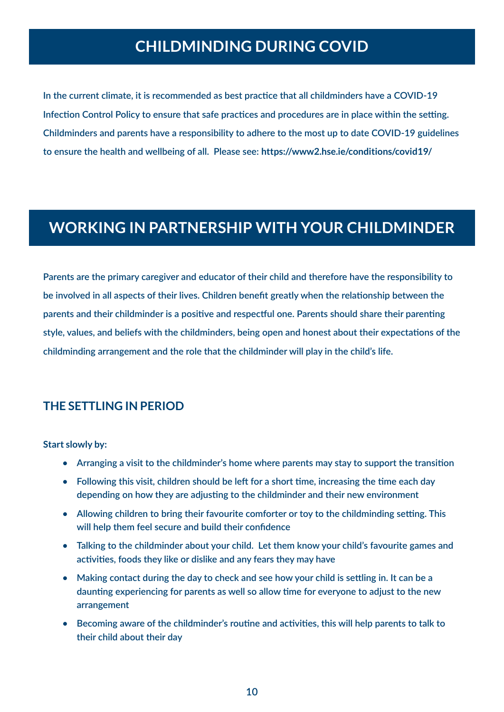## **CHILDMINDING DURING COVID**

<span id="page-9-0"></span>**In the current climate, it is recommended as best practice that all childminders have a COVID-19 Infection Control Policy to ensure that safe practices and procedures are in place within the setting. Childminders and parents have a responsibility to adhere to the most up to date COVID-19 guidelines to ensure the health and wellbeing of all. Please see: <https://www2.hse.ie/conditions/covid19/>**

## **WORKING IN PARTNERSHIP WITH YOUR CHILDMINDER**

**Parents are the primary caregiver and educator of their child and therefore have the responsibility to be involved in all aspects of their lives. Children benefit greatly when the relationship between the parents and their childminder is a positive and respectful one. Parents should share their parenting style, values, and beliefs with the childminders, being open and honest about their expectations of the childminding arrangement and the role that the childminder will play in the child's life.** 

#### **THE SETTLING IN PERIOD**

**Start slowly by:** 

- **• Arranging a visit to the childminder's home where parents may stay to support the transition**
- **• Following this visit, children should be left for a short time, increasing the time each day depending on how they are adjusting to the childminder and their new environment**
- **• Allowing children to bring their favourite comforter or toy to the childminding setting. This will help them feel secure and build their confidence**
- **• Talking to the childminder about your child. Let them know your child's favourite games and activities, foods they like or dislike and any fears they may have**
- **• Making contact during the day to check and see how your child is settling in. It can be a daunting experiencing for parents as well so allow time for everyone to adjust to the new arrangement**
- **• Becoming aware of the childminder's routine and activities, this will help parents to talk to their child about their day**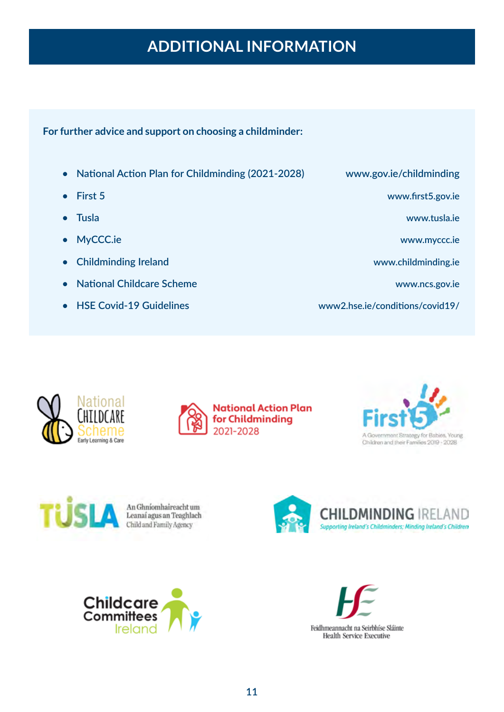## **ADDITIONAL INFORMATION**

#### <span id="page-10-0"></span>**For further advice and support on choosing a childminder:**

- **• [National Action Plan for Childminding \(2021-2028\)](https://www.gov.ie/en/campaigns/df207-national-action-plan-for-childminding-2021-2028/)**
- **• [First 5](https://first5.gov.ie/)**
- **• [Tusla](https://www.tusla.ie/)**
- **• [MyCCC.ie](https://myccc.ie/)**
- **• [Childminding Ireland](https://www.childminding.ie/)**
- **• [National Childcare Scheme](https://www.ncs.gov.ie/en/)**
- **• [HSE Covid-19 Guidelines](https://www2.hse.ie/conditions/covid19/)**

**[www.gov.ie/childminding](https://www.gov.ie/en/campaigns/df207-national-action-plan-for-childminding-2021-2028/)**

**[www.first5.gov.ie](https://first5.gov.ie/)**

**[www.tusla.ie](https://www.tusla.ie/)**

**[www.myccc.ie](https://myccc.ie/)**

**[www.childminding.ie](https://www.childminding.ie/)**

**[www.ncs.gov.ie](https://www.ncs.gov.ie/en/)**

**[www2.hse.ie/conditions/covid19/](https://www2.hse.ie/conditions/covid19/)**









An Ghníomhaireacht um<br>Leanaí agus an Teaghlach Child and Family Agency